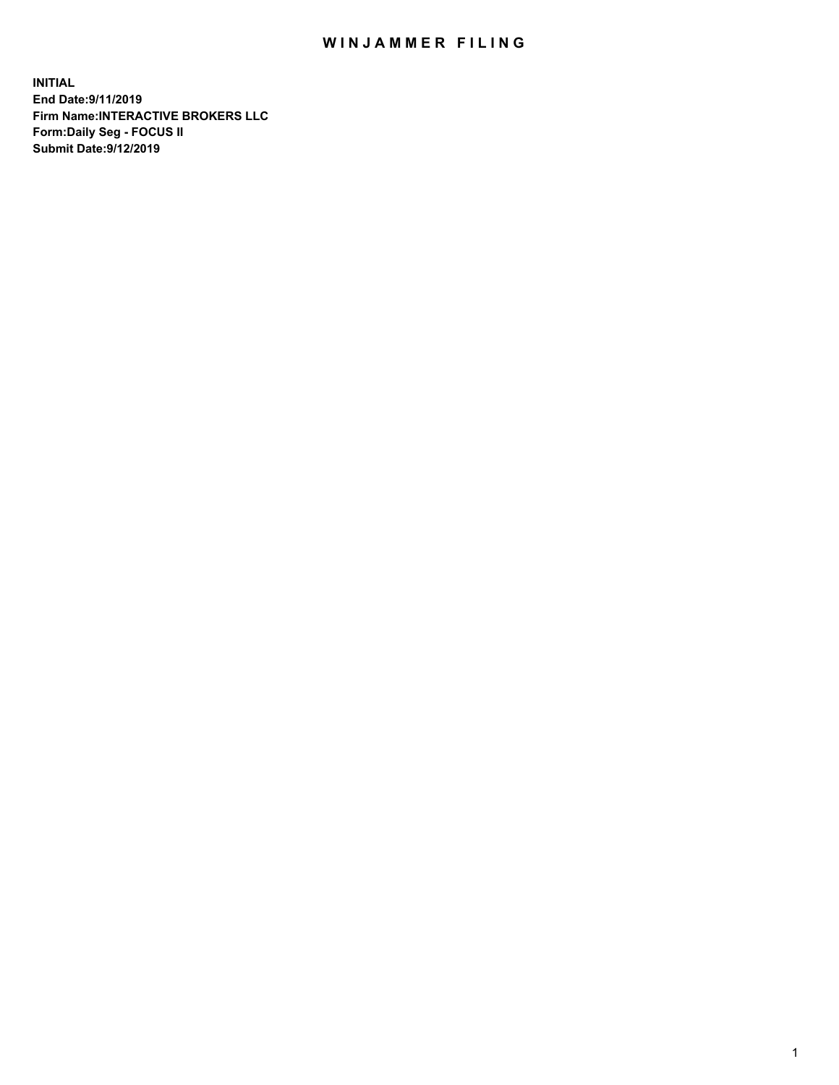## WIN JAMMER FILING

**INITIAL End Date:9/11/2019 Firm Name:INTERACTIVE BROKERS LLC Form:Daily Seg - FOCUS II Submit Date:9/12/2019**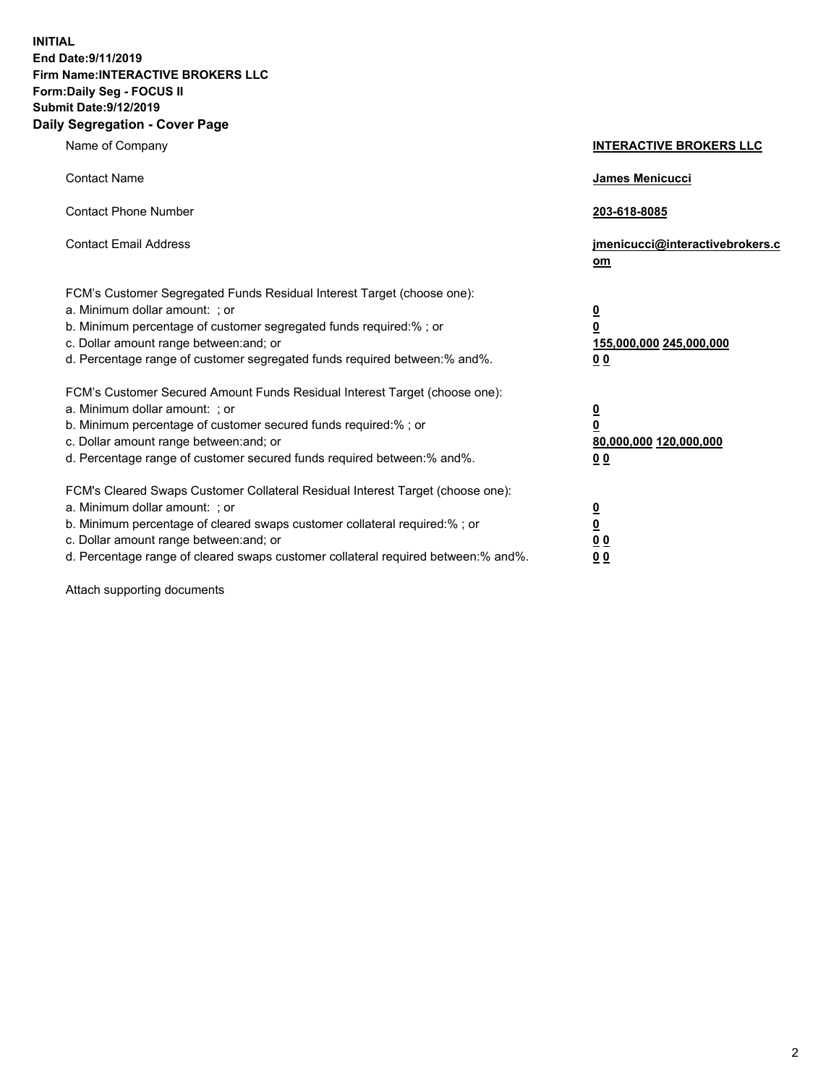**INITIAL End Date:9/11/2019 Firm Name:INTERACTIVE BROKERS LLC Form:Daily Seg - FOCUS II Submit Date:9/12/2019 Daily Segregation - Cover Page**

| Name of Company                                                                                                                                                                                                                                                                                                                | <b>INTERACTIVE BROKERS LLC</b>                                                                  |
|--------------------------------------------------------------------------------------------------------------------------------------------------------------------------------------------------------------------------------------------------------------------------------------------------------------------------------|-------------------------------------------------------------------------------------------------|
| <b>Contact Name</b>                                                                                                                                                                                                                                                                                                            | James Menicucci                                                                                 |
| <b>Contact Phone Number</b>                                                                                                                                                                                                                                                                                                    | 203-618-8085                                                                                    |
| <b>Contact Email Address</b>                                                                                                                                                                                                                                                                                                   | jmenicucci@interactivebrokers.c<br>om                                                           |
| FCM's Customer Segregated Funds Residual Interest Target (choose one):<br>a. Minimum dollar amount: ; or<br>b. Minimum percentage of customer segregated funds required:% ; or<br>c. Dollar amount range between: and; or<br>d. Percentage range of customer segregated funds required between:% and%.                         | $\overline{\mathbf{0}}$<br>$\overline{\mathbf{0}}$<br>155,000,000 245,000,000<br>0 <sub>0</sub> |
| FCM's Customer Secured Amount Funds Residual Interest Target (choose one):<br>a. Minimum dollar amount: ; or<br>b. Minimum percentage of customer secured funds required:% ; or<br>c. Dollar amount range between: and; or<br>d. Percentage range of customer secured funds required between:% and%.                           | $\overline{\mathbf{0}}$<br>0<br>80,000,000 120,000,000<br>0 <sub>0</sub>                        |
| FCM's Cleared Swaps Customer Collateral Residual Interest Target (choose one):<br>a. Minimum dollar amount: ; or<br>b. Minimum percentage of cleared swaps customer collateral required:% ; or<br>c. Dollar amount range between: and; or<br>d. Percentage range of cleared swaps customer collateral required between:% and%. | $\overline{\mathbf{0}}$<br><u>0</u><br>$\underline{0}$ $\underline{0}$<br>00                    |

Attach supporting documents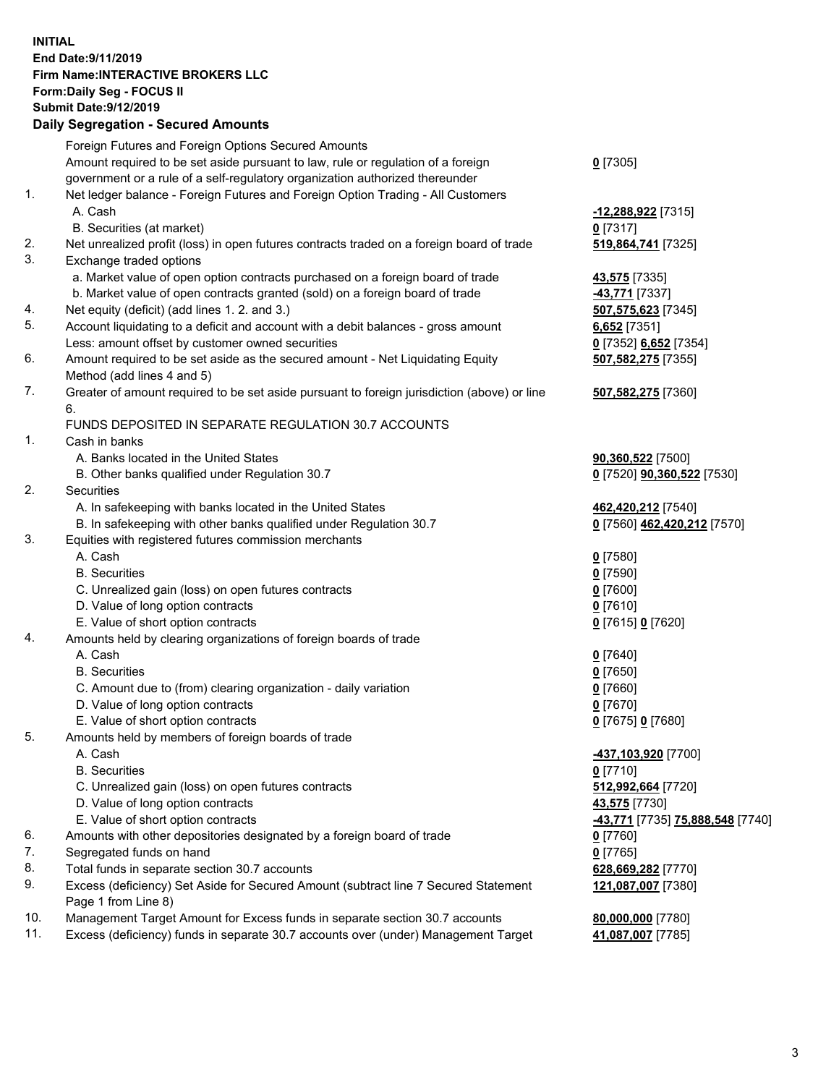## **INITIAL End Date:9/11/2019 Firm Name:INTERACTIVE BROKERS LLC Form:Daily Seg - FOCUS II Submit Date:9/12/2019 Daily Segregation - Secured Amounts**

|     | Daily Segregation - Secured Amounts                                                         |                                  |
|-----|---------------------------------------------------------------------------------------------|----------------------------------|
|     | Foreign Futures and Foreign Options Secured Amounts                                         |                                  |
|     | Amount required to be set aside pursuant to law, rule or regulation of a foreign            | $0$ [7305]                       |
|     | government or a rule of a self-regulatory organization authorized thereunder                |                                  |
| 1.  | Net ledger balance - Foreign Futures and Foreign Option Trading - All Customers             |                                  |
|     | A. Cash                                                                                     | -12,288,922 [7315]               |
|     | B. Securities (at market)                                                                   | $0$ [7317]                       |
| 2.  | Net unrealized profit (loss) in open futures contracts traded on a foreign board of trade   | 519,864,741 [7325]               |
| 3.  | Exchange traded options                                                                     |                                  |
|     | a. Market value of open option contracts purchased on a foreign board of trade              | <b>43,575</b> [7335]             |
|     | b. Market value of open contracts granted (sold) on a foreign board of trade                | 43,771 [7337]                    |
| 4.  | Net equity (deficit) (add lines 1. 2. and 3.)                                               | 507,575,623 [7345]               |
| 5.  | Account liquidating to a deficit and account with a debit balances - gross amount           | 6,652 [7351]                     |
|     | Less: amount offset by customer owned securities                                            | 0 [7352] 6,652 [7354]            |
| 6.  | Amount required to be set aside as the secured amount - Net Liquidating Equity              | 507,582,275 [7355]               |
|     | Method (add lines 4 and 5)                                                                  |                                  |
| 7.  | Greater of amount required to be set aside pursuant to foreign jurisdiction (above) or line | 507,582,275 [7360]               |
|     | 6.                                                                                          |                                  |
|     | FUNDS DEPOSITED IN SEPARATE REGULATION 30.7 ACCOUNTS                                        |                                  |
| 1.  | Cash in banks                                                                               |                                  |
|     | A. Banks located in the United States                                                       | 90,360,522 [7500]                |
|     | B. Other banks qualified under Regulation 30.7                                              | 0 [7520] 90,360,522 [7530]       |
| 2.  | Securities                                                                                  |                                  |
|     | A. In safekeeping with banks located in the United States                                   | 462,420,212 [7540]               |
| 3.  | B. In safekeeping with other banks qualified under Regulation 30.7                          | 0 [7560] 462,420,212 [7570]      |
|     | Equities with registered futures commission merchants<br>A. Cash                            |                                  |
|     | <b>B.</b> Securities                                                                        | $0$ [7580]                       |
|     | C. Unrealized gain (loss) on open futures contracts                                         | $0$ [7590]<br>$0$ [7600]         |
|     | D. Value of long option contracts                                                           | $0$ [7610]                       |
|     | E. Value of short option contracts                                                          | 0 [7615] 0 [7620]                |
| 4.  | Amounts held by clearing organizations of foreign boards of trade                           |                                  |
|     | A. Cash                                                                                     | $0$ [7640]                       |
|     | <b>B.</b> Securities                                                                        | $0$ [7650]                       |
|     | C. Amount due to (from) clearing organization - daily variation                             | $0$ [7660]                       |
|     | D. Value of long option contracts                                                           | $0$ [7670]                       |
|     | E. Value of short option contracts                                                          | 0 [7675] 0 [7680]                |
| 5.  | Amounts held by members of foreign boards of trade                                          |                                  |
|     | A. Cash                                                                                     | -437,103,920 [7700]              |
|     | <b>B.</b> Securities                                                                        | $0$ [7710]                       |
|     | C. Unrealized gain (loss) on open futures contracts                                         | 512,992,664 [7720]               |
|     | D. Value of long option contracts                                                           | 43,575 [7730]                    |
|     | E. Value of short option contracts                                                          | -43,771 [7735] 75,888,548 [7740] |
| 6.  | Amounts with other depositories designated by a foreign board of trade                      | $0$ [7760]                       |
| 7.  | Segregated funds on hand                                                                    | $0$ [7765]                       |
| 8.  | Total funds in separate section 30.7 accounts                                               | 628,669,282 [7770]               |
| 9.  | Excess (deficiency) Set Aside for Secured Amount (subtract line 7 Secured Statement         | 121,087,007 [7380]               |
|     | Page 1 from Line 8)                                                                         |                                  |
| 10. | Management Target Amount for Excess funds in separate section 30.7 accounts                 | 80,000,000 [7780]                |
| 11. | Excess (deficiency) funds in separate 30.7 accounts over (under) Management Target          | 41,087,007 [7785]                |
|     |                                                                                             |                                  |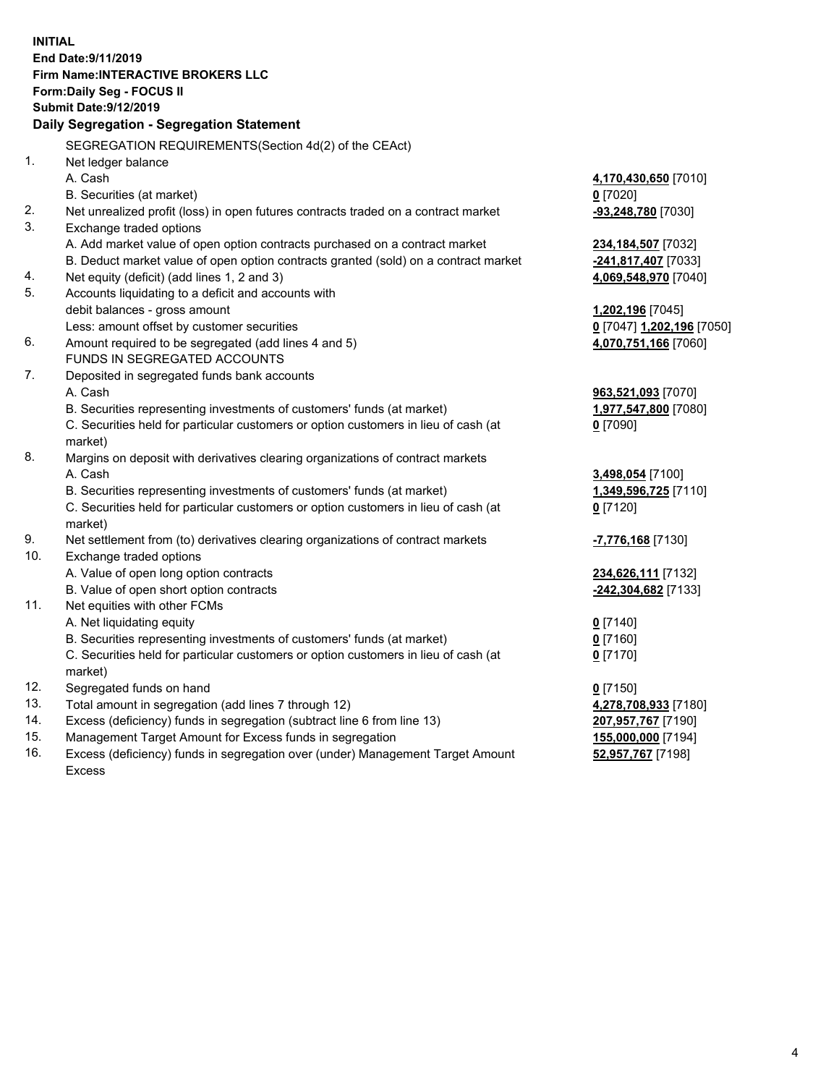**INITIAL End Date:9/11/2019 Firm Name:INTERACTIVE BROKERS LLC Form:Daily Seg - FOCUS II Submit Date:9/12/2019 Daily Segregation - Segregation Statement** SEGREGATION REQUIREMENTS(Section 4d(2) of the CEAct) 1. Net ledger balance A. Cash **4,170,430,650** [7010] B. Securities (at market) **0** [7020] 2. Net unrealized profit (loss) in open futures contracts traded on a contract market **-93,248,780** [7030] 3. Exchange traded options A. Add market value of open option contracts purchased on a contract market **234,184,507** [7032] B. Deduct market value of open option contracts granted (sold) on a contract market **-241,817,407** [7033] 4. Net equity (deficit) (add lines 1, 2 and 3) **4,069,548,970** [7040] 5. Accounts liquidating to a deficit and accounts with debit balances - gross amount **1,202,196** [7045] Less: amount offset by customer securities **0** [7047] **1,202,196** [7050] 6. Amount required to be segregated (add lines 4 and 5) **4,070,751,166** [7060] FUNDS IN SEGREGATED ACCOUNTS 7. Deposited in segregated funds bank accounts A. Cash **963,521,093** [7070] B. Securities representing investments of customers' funds (at market) **1,977,547,800** [7080] C. Securities held for particular customers or option customers in lieu of cash (at market) **0** [7090] 8. Margins on deposit with derivatives clearing organizations of contract markets A. Cash **3,498,054** [7100] B. Securities representing investments of customers' funds (at market) **1,349,596,725** [7110] C. Securities held for particular customers or option customers in lieu of cash (at market) **0** [7120] 9. Net settlement from (to) derivatives clearing organizations of contract markets **-7,776,168** [7130] 10. Exchange traded options A. Value of open long option contracts **234,626,111** [7132] B. Value of open short option contracts **-242,304,682** [7133] 11. Net equities with other FCMs A. Net liquidating equity **0** [7140] B. Securities representing investments of customers' funds (at market) **0** [7160] C. Securities held for particular customers or option customers in lieu of cash (at market) **0** [7170] 12. Segregated funds on hand **0** [7150] 13. Total amount in segregation (add lines 7 through 12) **4,278,708,933** [7180] 14. Excess (deficiency) funds in segregation (subtract line 6 from line 13) **207,957,767** [7190] 15. Management Target Amount for Excess funds in segregation **155,000,000** [7194] **52,957,767** [7198]

16. Excess (deficiency) funds in segregation over (under) Management Target Amount Excess